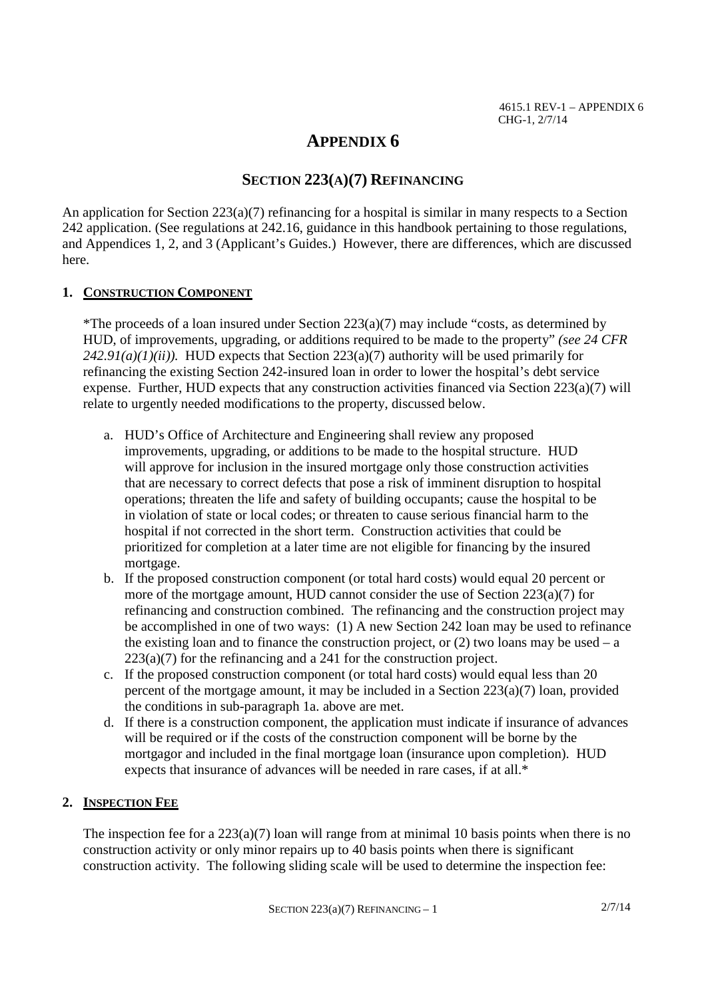# **APPENDIX 6**

# **SECTION 223(A)(7) REFINANCING**

An application for Section  $223(a)(7)$  refinancing for a hospital is similar in many respects to a Section 242 application. (See regulations at 242.16, guidance in this handbook pertaining to those regulations, and Appendices 1, 2, and 3 (Applicant's Guides.) However, there are differences, which are discussed here.

## **1. CONSTRUCTION COMPONENT**

\*The proceeds of a loan insured under Section 223(a)(7) may include "costs, as determined by HUD, of improvements, upgrading, or additions required to be made to the property" *(see 24 CFR*  $242.91(a)(1)(ii)$ . HUD expects that Section  $223(a)(7)$  authority will be used primarily for refinancing the existing Section 242-insured loan in order to lower the hospital's debt service expense. Further, HUD expects that any construction activities financed via Section 223(a)(7) will relate to urgently needed modifications to the property, discussed below.

- a. HUD's Office of Architecture and Engineering shall review any proposed improvements, upgrading, or additions to be made to the hospital structure. HUD will approve for inclusion in the insured mortgage only those construction activities that are necessary to correct defects that pose a risk of imminent disruption to hospital operations; threaten the life and safety of building occupants; cause the hospital to be in violation of state or local codes; or threaten to cause serious financial harm to the hospital if not corrected in the short term. Construction activities that could be prioritized for completion at a later time are not eligible for financing by the insured mortgage.
- b. If the proposed construction component (or total hard costs) would equal 20 percent or more of the mortgage amount, HUD cannot consider the use of Section 223(a)(7) for refinancing and construction combined. The refinancing and the construction project may be accomplished in one of two ways: (1) A new Section 242 loan may be used to refinance the existing loan and to finance the construction project, or  $(2)$  two loans may be used – a 223(a)(7) for the refinancing and a 241 for the construction project.
- c. If the proposed construction component (or total hard costs) would equal less than 20 percent of the mortgage amount, it may be included in a Section  $223(a)(7)$  loan, provided the conditions in sub-paragraph 1a. above are met.
- d. If there is a construction component, the application must indicate if insurance of advances will be required or if the costs of the construction component will be borne by the mortgagor and included in the final mortgage loan (insurance upon completion). HUD expects that insurance of advances will be needed in rare cases, if at all.\*

# **2. INSPECTION FEE**

The inspection fee for a  $223(a)(7)$  loan will range from at minimal 10 basis points when there is no construction activity or only minor repairs up to 40 basis points when there is significant construction activity. The following sliding scale will be used to determine the inspection fee: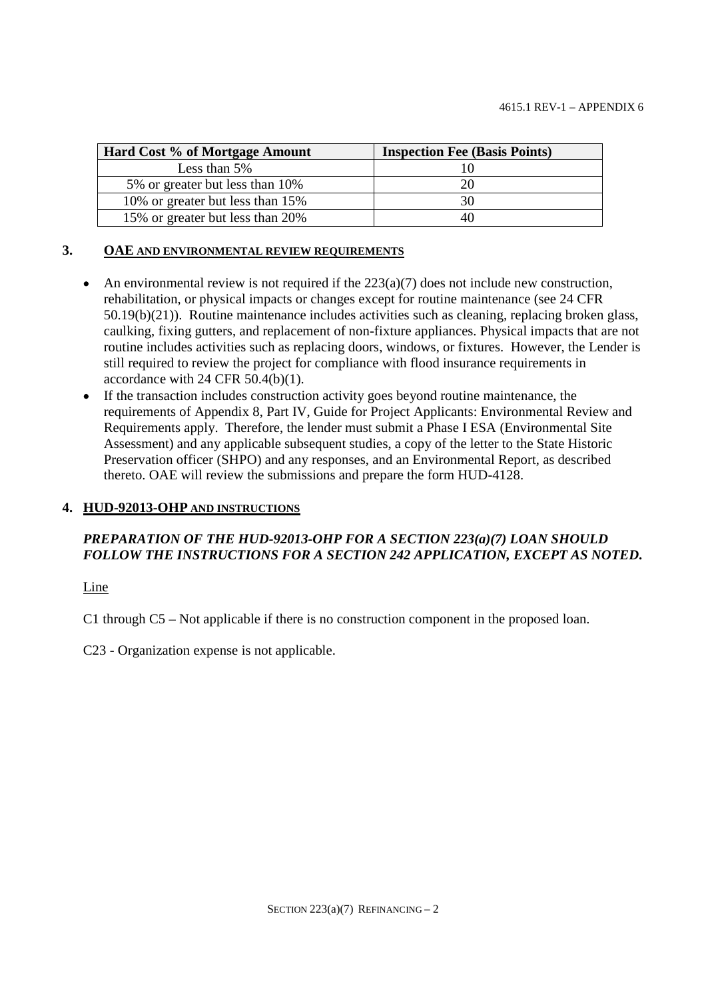| Hard Cost % of Mortgage Amount   | <b>Inspection Fee (Basis Points)</b> |
|----------------------------------|--------------------------------------|
| Less than $5\%$                  |                                      |
| 5% or greater but less than 10%  |                                      |
| 10% or greater but less than 15% | 30                                   |
| 15% or greater but less than 20% | 40                                   |

### **3. OAE AND ENVIRONMENTAL REVIEW REQUIREMENTS**

- An environmental review is not required if the  $223(a)(7)$  does not include new construction, rehabilitation, or physical impacts or changes except for routine maintenance (see 24 CFR 50.19(b)(21)). Routine maintenance includes activities such as cleaning, replacing broken glass, caulking, fixing gutters, and replacement of non-fixture appliances. Physical impacts that are not routine includes activities such as replacing doors, windows, or fixtures. However, the Lender is still required to review the project for compliance with flood insurance requirements in accordance with 24 CFR 50.4(b)(1).
- If the transaction includes construction activity goes beyond routine maintenance, the requirements of Appendix 8, Part IV, Guide for Project Applicants: Environmental Review and Requirements apply. Therefore, the lender must submit a Phase I ESA (Environmental Site Assessment) and any applicable subsequent studies, a copy of the letter to the State Historic Preservation officer (SHPO) and any responses, and an Environmental Report, as described thereto. OAE will review the submissions and prepare the form HUD-4128.

## **4. HUD-92013-OHP AND INSTRUCTIONS**

# *PREPARATION OF THE HUD-92013-OHP FOR A SECTION 223(a)(7) LOAN SHOULD FOLLOW THE INSTRUCTIONS FOR A SECTION 242 APPLICATION, EXCEPT AS NOTED***.**

Line

C1 through C5 – Not applicable if there is no construction component in the proposed loan.

C23 - Organization expense is not applicable.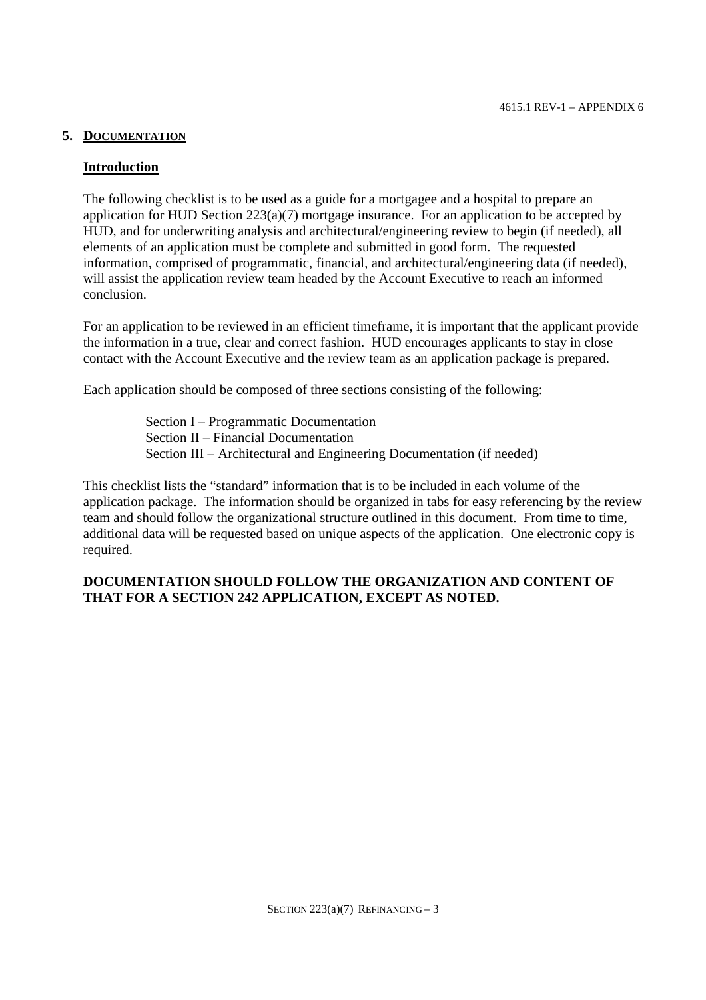## **5. DOCUMENTATION**

## **Introduction**

The following checklist is to be used as a guide for a mortgagee and a hospital to prepare an application for HUD Section 223(a)(7) mortgage insurance. For an application to be accepted by HUD, and for underwriting analysis and architectural/engineering review to begin (if needed), all elements of an application must be complete and submitted in good form. The requested information, comprised of programmatic, financial, and architectural/engineering data (if needed), will assist the application review team headed by the Account Executive to reach an informed conclusion.

For an application to be reviewed in an efficient timeframe, it is important that the applicant provide the information in a true, clear and correct fashion. HUD encourages applicants to stay in close contact with the Account Executive and the review team as an application package is prepared.

Each application should be composed of three sections consisting of the following:

Section I – Programmatic Documentation Section II – Financial Documentation Section III – Architectural and Engineering Documentation (if needed)

This checklist lists the "standard" information that is to be included in each volume of the application package. The information should be organized in tabs for easy referencing by the review team and should follow the organizational structure outlined in this document. From time to time, additional data will be requested based on unique aspects of the application. One electronic copy is required.

## **DOCUMENTATION SHOULD FOLLOW THE ORGANIZATION AND CONTENT OF THAT FOR A SECTION 242 APPLICATION, EXCEPT AS NOTED.**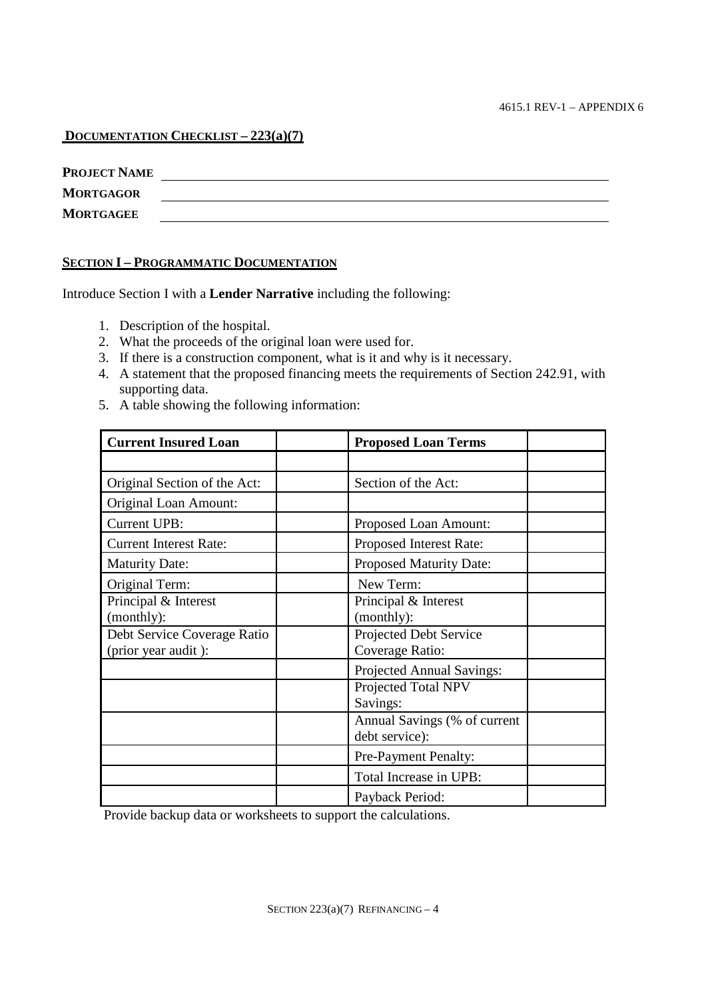## **DOCUMENTATION CHECKLIST – 223(a)(7)**

| <b>PROJECT NAME</b> |  |
|---------------------|--|
| <b>MORTGAGOR</b>    |  |
| <b>MORTGAGEE</b>    |  |

## **SECTION I – PROGRAMMATIC DOCUMENTATION**

Introduce Section I with a **Lender Narrative** including the following:

- 1. Description of the hospital.
- 2. What the proceeds of the original loan were used for.
- 3. If there is a construction component, what is it and why is it necessary.
- 4. A statement that the proposed financing meets the requirements of Section 242.91, with supporting data.
- 5. A table showing the following information:

| <b>Current Insured Loan</b>                        | <b>Proposed Loan Terms</b>                     |
|----------------------------------------------------|------------------------------------------------|
|                                                    |                                                |
| Original Section of the Act:                       | Section of the Act:                            |
| Original Loan Amount:                              |                                                |
| <b>Current UPB:</b>                                | Proposed Loan Amount:                          |
| <b>Current Interest Rate:</b>                      | Proposed Interest Rate:                        |
| <b>Maturity Date:</b>                              | <b>Proposed Maturity Date:</b>                 |
| Original Term:                                     | New Term:                                      |
| Principal & Interest<br>(monthly):                 | Principal & Interest<br>(monthly):             |
| Debt Service Coverage Ratio<br>(prior year audit): | Projected Debt Service<br>Coverage Ratio:      |
|                                                    | Projected Annual Savings:                      |
|                                                    | Projected Total NPV<br>Savings:                |
|                                                    | Annual Savings (% of current<br>debt service): |
|                                                    | Pre-Payment Penalty:                           |
|                                                    | Total Increase in UPB:                         |
|                                                    | Payback Period:                                |

Provide backup data or worksheets to support the calculations.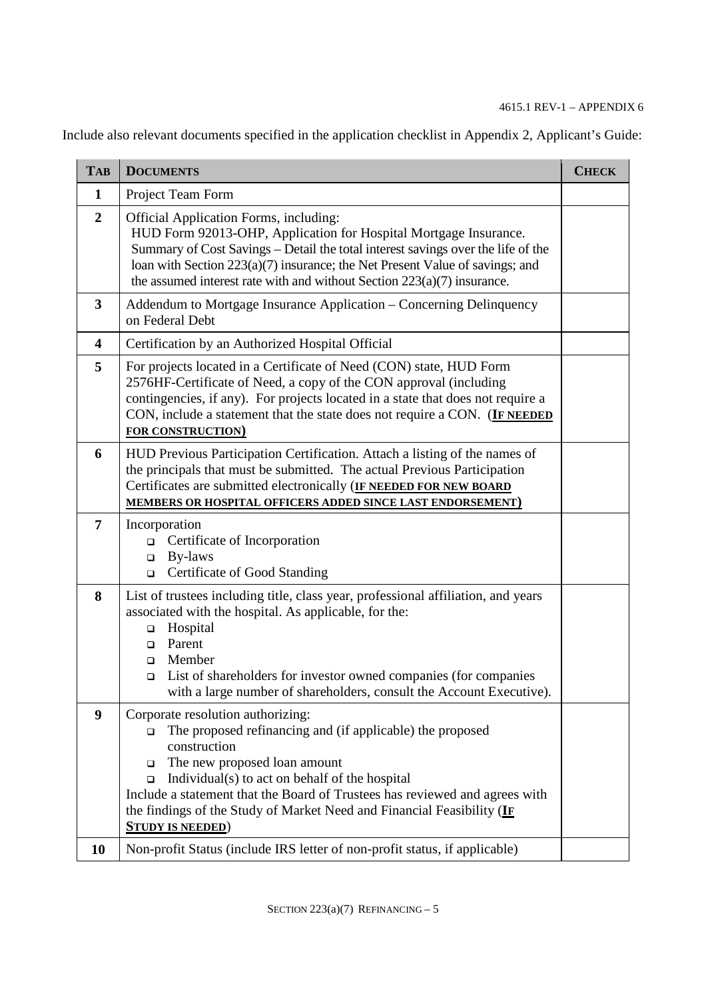Include also relevant documents specified in the application checklist in Appendix 2, Applicant's Guide:

| <b>TAB</b>              | <b>DOCUMENTS</b>                                                                                                                                                                                                                                                                                                                                                                                                    | <b>CHECK</b> |
|-------------------------|---------------------------------------------------------------------------------------------------------------------------------------------------------------------------------------------------------------------------------------------------------------------------------------------------------------------------------------------------------------------------------------------------------------------|--------------|
| $\mathbf{1}$            | Project Team Form                                                                                                                                                                                                                                                                                                                                                                                                   |              |
| $\overline{2}$          | <b>Official Application Forms, including:</b><br>HUD Form 92013-OHP, Application for Hospital Mortgage Insurance.<br>Summary of Cost Savings – Detail the total interest savings over the life of the<br>loan with Section 223(a)(7) insurance; the Net Present Value of savings; and<br>the assumed interest rate with and without Section $223(a)(7)$ insurance.                                                  |              |
| 3                       | Addendum to Mortgage Insurance Application – Concerning Delinquency<br>on Federal Debt                                                                                                                                                                                                                                                                                                                              |              |
| $\overline{\mathbf{4}}$ | Certification by an Authorized Hospital Official                                                                                                                                                                                                                                                                                                                                                                    |              |
| 5                       | For projects located in a Certificate of Need (CON) state, HUD Form<br>2576HF-Certificate of Need, a copy of the CON approval (including<br>contingencies, if any). For projects located in a state that does not require a<br>CON, include a statement that the state does not require a CON. (IF NEEDED<br><b>FOR CONSTRUCTION)</b>                                                                               |              |
| 6                       | HUD Previous Participation Certification. Attach a listing of the names of<br>the principals that must be submitted. The actual Previous Participation<br>Certificates are submitted electronically (IF NEEDED FOR NEW BOARD<br><b>MEMBERS OR HOSPITAL OFFICERS ADDED SINCE LAST ENDORSEMENT)</b>                                                                                                                   |              |
| 7                       | Incorporation<br>Certificate of Incorporation<br>$\Box$<br>By-laws<br>$\Box$<br>Certificate of Good Standing<br>$\Box$                                                                                                                                                                                                                                                                                              |              |
| 8                       | List of trustees including title, class year, professional affiliation, and years<br>associated with the hospital. As applicable, for the:<br>Hospital<br>$\Box$<br>Parent<br>$\Box$<br>Member<br>$\Box$<br>List of shareholders for investor owned companies (for companies<br>$\Box$<br>with a large number of shareholders, consult the Account Executive).                                                      |              |
| $\boldsymbol{9}$        | Corporate resolution authorizing:<br>The proposed refinancing and (if applicable) the proposed<br>$\Box$<br>construction<br>The new proposed loan amount<br>$\Box$<br>Individual(s) to act on behalf of the hospital<br>$\Box$<br>Include a statement that the Board of Trustees has reviewed and agrees with<br>the findings of the Study of Market Need and Financial Feasibility (IF<br><b>STUDY IS NEEDED</b> ) |              |
| <b>10</b>               | Non-profit Status (include IRS letter of non-profit status, if applicable)                                                                                                                                                                                                                                                                                                                                          |              |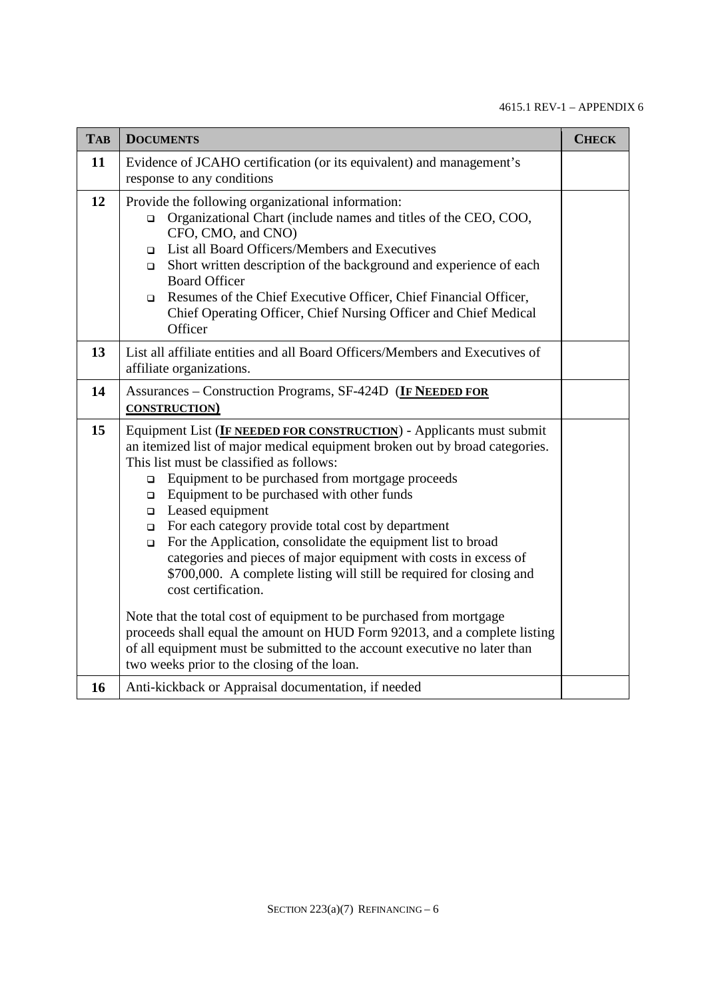| <b>TAB</b> | <b>DOCUMENTS</b>                                                                                                                                                                                                                                                                                                                                                                                                                                                                                                                                                                                                                                              | <b>CHECK</b> |
|------------|---------------------------------------------------------------------------------------------------------------------------------------------------------------------------------------------------------------------------------------------------------------------------------------------------------------------------------------------------------------------------------------------------------------------------------------------------------------------------------------------------------------------------------------------------------------------------------------------------------------------------------------------------------------|--------------|
| 11         | Evidence of JCAHO certification (or its equivalent) and management's<br>response to any conditions                                                                                                                                                                                                                                                                                                                                                                                                                                                                                                                                                            |              |
| 12         | Provide the following organizational information:<br>Organizational Chart (include names and titles of the CEO, COO,<br>$\Box$<br>CFO, CMO, and CNO)<br>List all Board Officers/Members and Executives<br>$\Box$<br>Short written description of the background and experience of each<br>$\Box$<br><b>Board Officer</b><br>Resumes of the Chief Executive Officer, Chief Financial Officer,<br>$\Box$<br>Chief Operating Officer, Chief Nursing Officer and Chief Medical<br>Officer                                                                                                                                                                         |              |
| 13         | List all affiliate entities and all Board Officers/Members and Executives of<br>affiliate organizations.                                                                                                                                                                                                                                                                                                                                                                                                                                                                                                                                                      |              |
| 14         | Assurances – Construction Programs, SF-424D (IF NEEDED FOR<br><b>CONSTRUCTION</b>                                                                                                                                                                                                                                                                                                                                                                                                                                                                                                                                                                             |              |
| 15         | Equipment List (IF NEEDED FOR CONSTRUCTION) - Applicants must submit<br>an itemized list of major medical equipment broken out by broad categories.<br>This list must be classified as follows:<br>Equipment to be purchased from mortgage proceeds<br>$\Box$<br>Equipment to be purchased with other funds<br>$\Box$<br>$\Box$ Leased equipment<br>For each category provide total cost by department<br>$\Box$<br>For the Application, consolidate the equipment list to broad<br>$\Box$<br>categories and pieces of major equipment with costs in excess of<br>\$700,000. A complete listing will still be required for closing and<br>cost certification. |              |
|            | Note that the total cost of equipment to be purchased from mortgage<br>proceeds shall equal the amount on HUD Form 92013, and a complete listing<br>of all equipment must be submitted to the account executive no later than<br>two weeks prior to the closing of the loan.                                                                                                                                                                                                                                                                                                                                                                                  |              |
| 16         | Anti-kickback or Appraisal documentation, if needed                                                                                                                                                                                                                                                                                                                                                                                                                                                                                                                                                                                                           |              |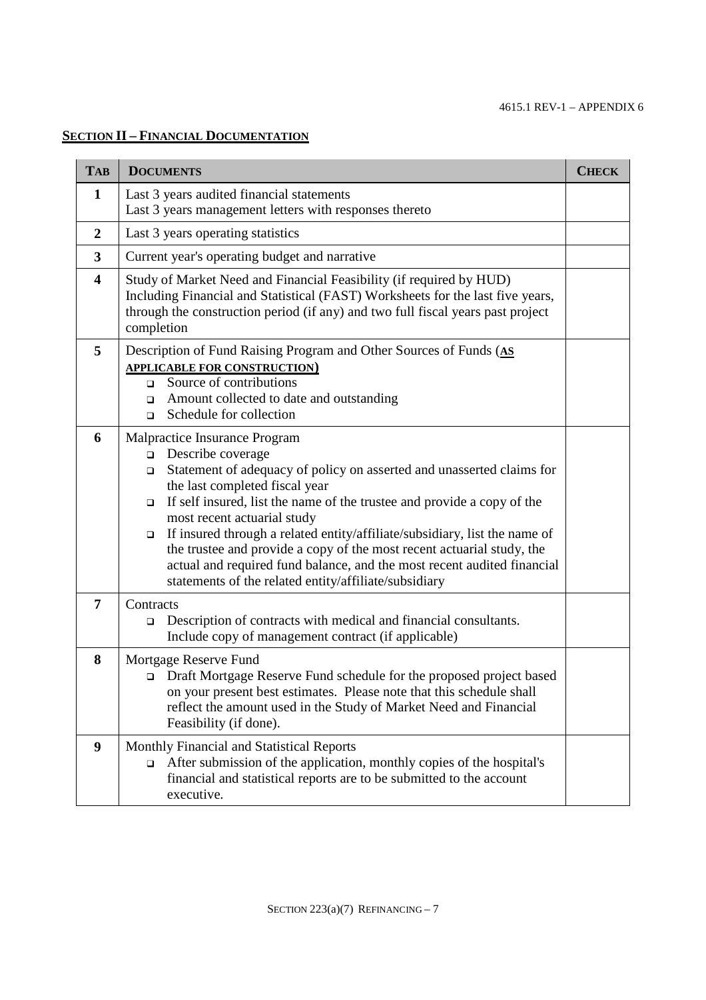# **SECTION II – FINANCIAL DOCUMENTATION**

| <b>TAB</b>              | <b>DOCUMENTS</b>                                                                                                                                                                                                                                                                                                                                                                                                                                                                                                                                                                                       | <b>CHECK</b> |  |
|-------------------------|--------------------------------------------------------------------------------------------------------------------------------------------------------------------------------------------------------------------------------------------------------------------------------------------------------------------------------------------------------------------------------------------------------------------------------------------------------------------------------------------------------------------------------------------------------------------------------------------------------|--------------|--|
| $\mathbf{1}$            | Last 3 years audited financial statements<br>Last 3 years management letters with responses thereto                                                                                                                                                                                                                                                                                                                                                                                                                                                                                                    |              |  |
| $\overline{2}$          | Last 3 years operating statistics                                                                                                                                                                                                                                                                                                                                                                                                                                                                                                                                                                      |              |  |
| 3                       | Current year's operating budget and narrative                                                                                                                                                                                                                                                                                                                                                                                                                                                                                                                                                          |              |  |
| $\overline{\mathbf{4}}$ | Study of Market Need and Financial Feasibility (if required by HUD)<br>Including Financial and Statistical (FAST) Worksheets for the last five years,<br>through the construction period (if any) and two full fiscal years past project<br>completion                                                                                                                                                                                                                                                                                                                                                 |              |  |
| 5                       | Description of Fund Raising Program and Other Sources of Funds (AS<br><b>APPLICABLE FOR CONSTRUCTION)</b><br>Source of contributions<br>$\Box$<br>Amount collected to date and outstanding<br>□<br>Schedule for collection<br>$\Box$                                                                                                                                                                                                                                                                                                                                                                   |              |  |
| 6                       | Malpractice Insurance Program<br>Describe coverage<br>$\Box$<br>Statement of adequacy of policy on asserted and unasserted claims for<br>□<br>the last completed fiscal year<br>If self insured, list the name of the trustee and provide a copy of the<br>$\Box$<br>most recent actuarial study<br>If insured through a related entity/affiliate/subsidiary, list the name of<br>$\Box$<br>the trustee and provide a copy of the most recent actuarial study, the<br>actual and required fund balance, and the most recent audited financial<br>statements of the related entity/affiliate/subsidiary |              |  |
| 7                       | Contracts<br>Description of contracts with medical and financial consultants.<br>$\Box$<br>Include copy of management contract (if applicable)                                                                                                                                                                                                                                                                                                                                                                                                                                                         |              |  |
| 8                       | Mortgage Reserve Fund<br>Draft Mortgage Reserve Fund schedule for the proposed project based<br>$\Box$<br>on your present best estimates. Please note that this schedule shall<br>reflect the amount used in the Study of Market Need and Financial<br>Feasibility (if done).                                                                                                                                                                                                                                                                                                                          |              |  |
| $\boldsymbol{9}$        | Monthly Financial and Statistical Reports<br>After submission of the application, monthly copies of the hospital's<br>□<br>financial and statistical reports are to be submitted to the account<br>executive.                                                                                                                                                                                                                                                                                                                                                                                          |              |  |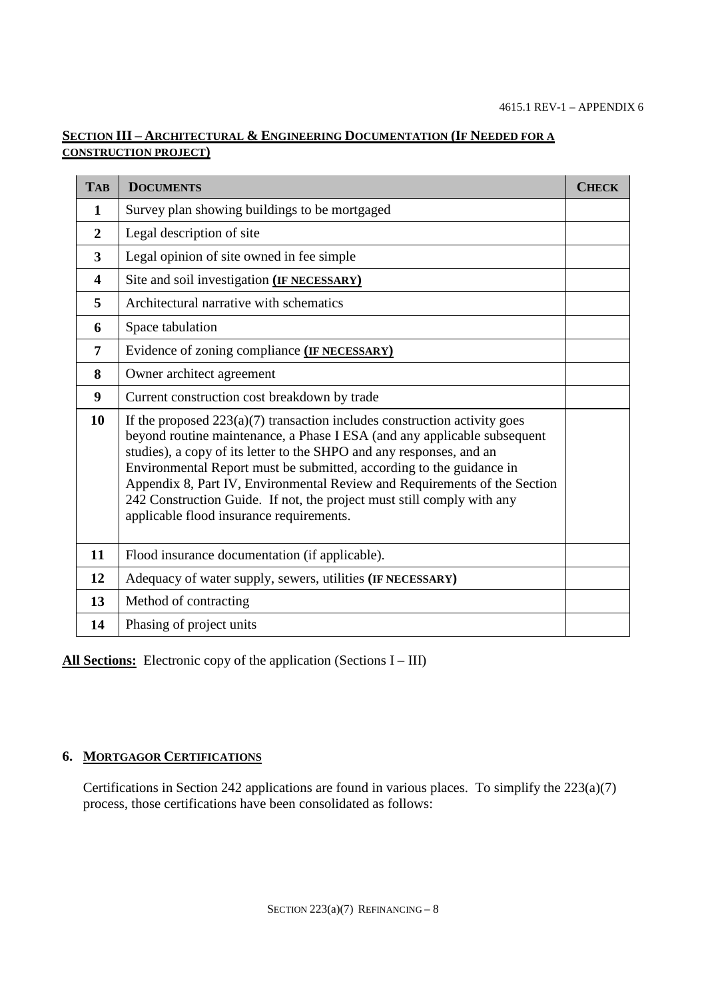# **SECTION III – ARCHITECTURAL & ENGINEERING DOCUMENTATION (IF NEEDED FOR A CONSTRUCTION PROJECT)**

| <b>TAB</b>              | <b>DOCUMENTS</b>                                                                                                                                                                                                                                                                                                                                                                                                                                                                                           | <b>CHECK</b> |
|-------------------------|------------------------------------------------------------------------------------------------------------------------------------------------------------------------------------------------------------------------------------------------------------------------------------------------------------------------------------------------------------------------------------------------------------------------------------------------------------------------------------------------------------|--------------|
| $\mathbf{1}$            | Survey plan showing buildings to be mortgaged                                                                                                                                                                                                                                                                                                                                                                                                                                                              |              |
| $\mathbf{2}$            | Legal description of site                                                                                                                                                                                                                                                                                                                                                                                                                                                                                  |              |
| 3                       | Legal opinion of site owned in fee simple                                                                                                                                                                                                                                                                                                                                                                                                                                                                  |              |
| $\overline{\mathbf{4}}$ | Site and soil investigation (IF NECESSARY)                                                                                                                                                                                                                                                                                                                                                                                                                                                                 |              |
| 5                       | Architectural narrative with schematics                                                                                                                                                                                                                                                                                                                                                                                                                                                                    |              |
| 6                       | Space tabulation                                                                                                                                                                                                                                                                                                                                                                                                                                                                                           |              |
| 7                       | Evidence of zoning compliance (IF NECESSARY)                                                                                                                                                                                                                                                                                                                                                                                                                                                               |              |
| 8                       | Owner architect agreement                                                                                                                                                                                                                                                                                                                                                                                                                                                                                  |              |
| 9                       | Current construction cost breakdown by trade                                                                                                                                                                                                                                                                                                                                                                                                                                                               |              |
| 10                      | If the proposed $223(a)(7)$ transaction includes construction activity goes<br>beyond routine maintenance, a Phase I ESA (and any applicable subsequent<br>studies), a copy of its letter to the SHPO and any responses, and an<br>Environmental Report must be submitted, according to the guidance in<br>Appendix 8, Part IV, Environmental Review and Requirements of the Section<br>242 Construction Guide. If not, the project must still comply with any<br>applicable flood insurance requirements. |              |
| 11                      | Flood insurance documentation (if applicable).                                                                                                                                                                                                                                                                                                                                                                                                                                                             |              |
| 12                      | Adequacy of water supply, sewers, utilities (IF NECESSARY)                                                                                                                                                                                                                                                                                                                                                                                                                                                 |              |
| 13                      | Method of contracting                                                                                                                                                                                                                                                                                                                                                                                                                                                                                      |              |
| 14                      | Phasing of project units                                                                                                                                                                                                                                                                                                                                                                                                                                                                                   |              |

All Sections: Electronic copy of the application (Sections I – III)

# **6. MORTGAGOR CERTIFICATIONS**

Certifications in Section 242 applications are found in various places. To simplify the 223(a)(7) process, those certifications have been consolidated as follows: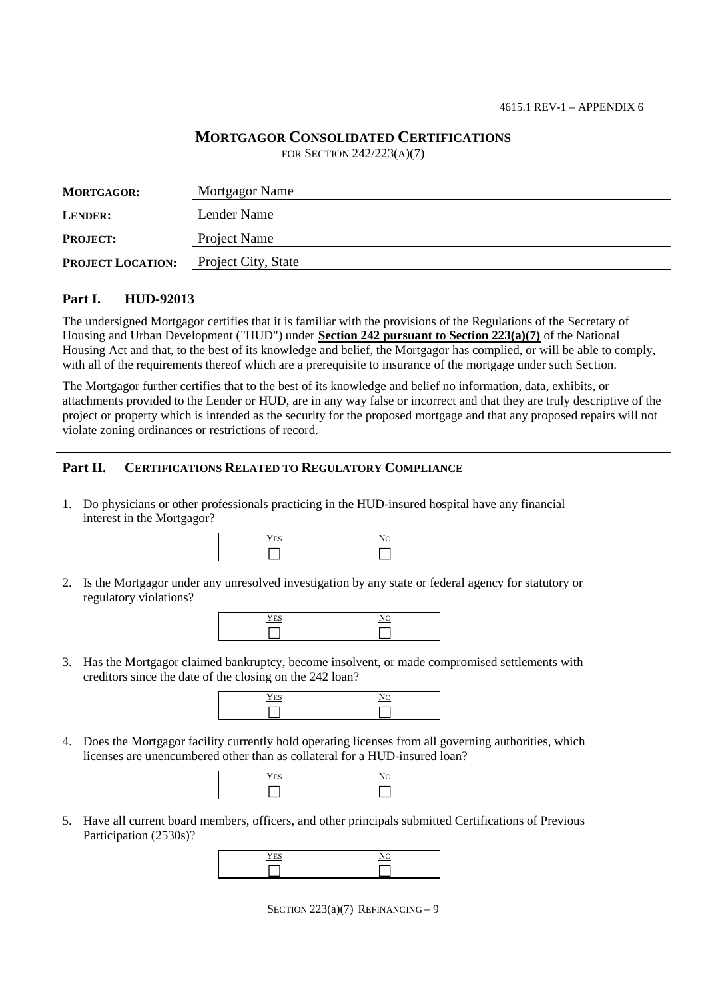# **MORTGAGOR CONSOLIDATED CERTIFICATIONS**

FOR SECTION 242/223(A)(7)

| <b>MORTGAGOR:</b>        | Mortgagor Name      |
|--------------------------|---------------------|
| <b>LENDER:</b>           | Lender Name         |
| <b>PROJECT:</b>          | Project Name        |
| <b>PROJECT LOCATION:</b> | Project City, State |

### **Part I. HUD-92013**

The undersigned Mortgagor certifies that it is familiar with the provisions of the Regulations of the Secretary of Housing and Urban Development ("HUD") under **Section 242 pursuant to Section 223(a)(7)** of the National Housing Act and that, to the best of its knowledge and belief, the Mortgagor has complied, or will be able to comply, with all of the requirements thereof which are a prerequisite to insurance of the mortgage under such Section.

The Mortgagor further certifies that to the best of its knowledge and belief no information, data, exhibits, or attachments provided to the Lender or HUD, are in any way false or incorrect and that they are truly descriptive of the project or property which is intended as the security for the proposed mortgage and that any proposed repairs will not violate zoning ordinances or restrictions of record.

## **Part II. CERTIFICATIONS RELATED TO REGULATORY COMPLIANCE**

1. Do physicians or other professionals practicing in the HUD-insured hospital have any financial interest in the Mortgagor?

| ___ |
|-----|
|     |

2. Is the Mortgagor under any unresolved investigation by any state or federal agency for statutory or regulatory violations?

| -- -<br>. | - |
|-----------|---|
|           |   |

3. Has the Mortgagor claimed bankruptcy, become insolvent, or made compromised settlements with creditors since the date of the closing on the 242 loan?



4. Does the Mortgagor facility currently hold operating licenses from all governing authorities, which licenses are unencumbered other than as collateral for a HUD-insured loan?

| $I_{T-1}$<br>$-$ | $\overline{\phantom{a}}$ |
|------------------|--------------------------|
|                  |                          |

5. Have all current board members, officers, and other principals submitted Certifications of Previous Participation (2530s)?

| . .<br>. <u>. .</u> |  |
|---------------------|--|
|                     |  |

SECTION  $223(a)(7)$  REFINANCING - 9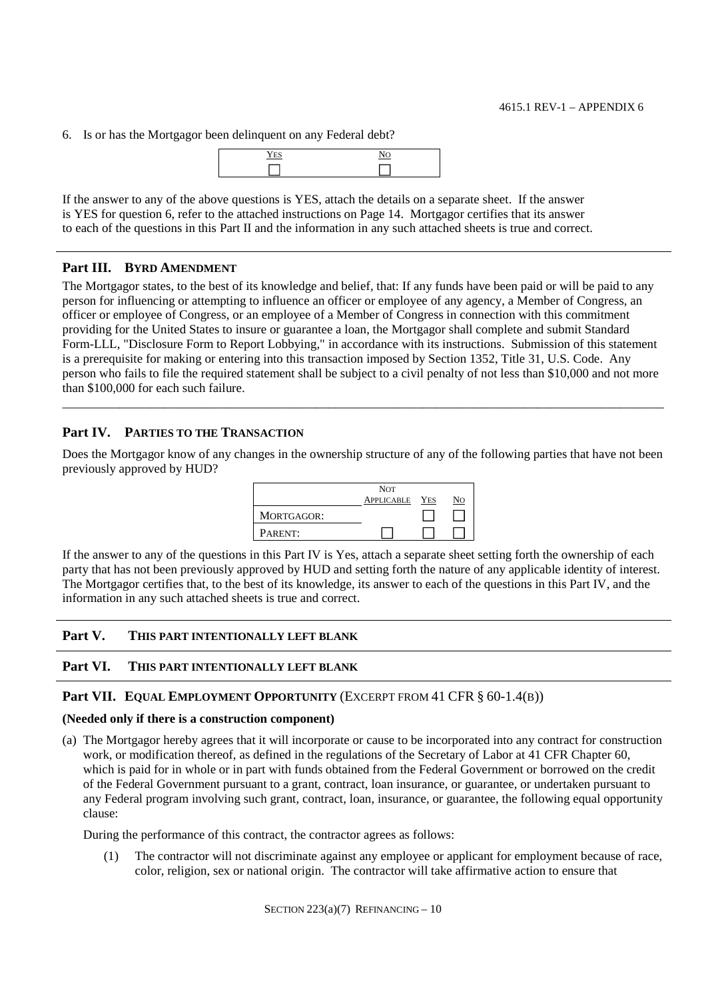6. Is or has the Mortgagor been delinquent on any Federal debt?



If the answer to any of the above questions is YES, attach the details on a separate sheet. If the answer is YES for question 6, refer to the attached instructions on Page 14. Mortgagor certifies that its answer to each of the questions in this Part II and the information in any such attached sheets is true and correct.

### **Part III. BYRD AMENDMENT**

The Mortgagor states, to the best of its knowledge and belief, that: If any funds have been paid or will be paid to any person for influencing or attempting to influence an officer or employee of any agency, a Member of Congress, an officer or employee of Congress, or an employee of a Member of Congress in connection with this commitment providing for the United States to insure or guarantee a loan, the Mortgagor shall complete and submit Standard Form-LLL, "Disclosure Form to Report Lobbying," in accordance with its instructions. Submission of this statement is a prerequisite for making or entering into this transaction imposed by Section 1352, Title 31, U.S. Code. Any person who fails to file the required statement shall be subject to a civil penalty of not less than \$10,000 and not more than \$100,000 for each such failure.

### **Part IV. PARTIES TO THE TRANSACTION**

Does the Mortgagor know of any changes in the ownership structure of any of the following parties that have not been previously approved by HUD?

\_\_\_\_\_\_\_\_\_\_\_\_\_\_\_\_\_\_\_\_\_\_\_\_\_\_\_\_\_\_\_\_\_\_\_\_\_\_\_\_\_\_\_\_\_\_\_\_\_\_\_\_\_\_\_\_\_\_\_\_\_\_\_\_\_\_\_\_\_\_\_\_\_\_\_\_\_\_\_\_\_\_\_\_\_\_\_\_\_\_\_\_\_\_\_



If the answer to any of the questions in this Part IV is Yes, attach a separate sheet setting forth the ownership of each party that has not been previously approved by HUD and setting forth the nature of any applicable identity of interest. The Mortgagor certifies that, to the best of its knowledge, its answer to each of the questions in this Part IV, and the information in any such attached sheets is true and correct.

#### **Part V. THIS PART INTENTIONALLY LEFT BLANK**

#### **Part VI. THIS PART INTENTIONALLY LEFT BLANK**

#### **Part VII. EQUAL EMPLOYMENT OPPORTUNITY** (EXCERPT FROM 41 CFR § 60-1.4(B))

#### **(Needed only if there is a construction component)**

(a) The Mortgagor hereby agrees that it will incorporate or cause to be incorporated into any contract for construction work, or modification thereof, as defined in the regulations of the Secretary of Labor at 41 CFR Chapter 60, which is paid for in whole or in part with funds obtained from the Federal Government or borrowed on the credit of the Federal Government pursuant to a grant, contract, loan insurance, or guarantee, or undertaken pursuant to any Federal program involving such grant, contract, loan, insurance, or guarantee, the following equal opportunity clause:

During the performance of this contract, the contractor agrees as follows:

(1) The contractor will not discriminate against any employee or applicant for employment because of race, color, religion, sex or national origin. The contractor will take affirmative action to ensure that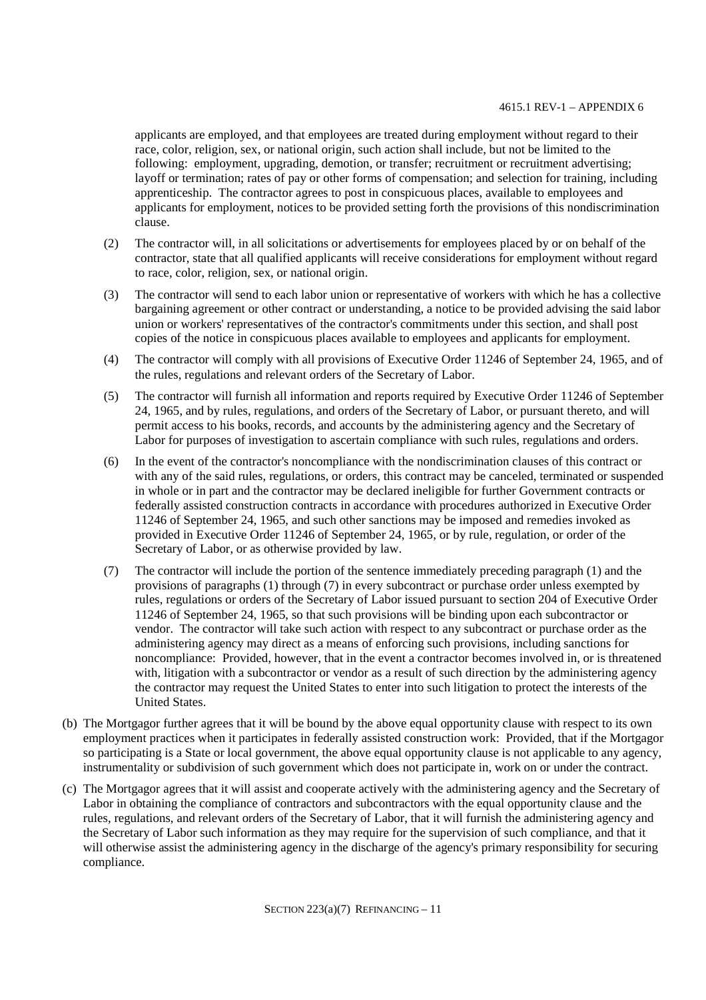#### 4615.1 REV-1 – APPENDIX 6

applicants are employed, and that employees are treated during employment without regard to their race, color, religion, sex, or national origin, such action shall include, but not be limited to the following: employment, upgrading, demotion, or transfer; recruitment or recruitment advertising; layoff or termination; rates of pay or other forms of compensation; and selection for training, including apprenticeship. The contractor agrees to post in conspicuous places, available to employees and applicants for employment, notices to be provided setting forth the provisions of this nondiscrimination clause.

- (2) The contractor will, in all solicitations or advertisements for employees placed by or on behalf of the contractor, state that all qualified applicants will receive considerations for employment without regard to race, color, religion, sex, or national origin.
- (3) The contractor will send to each labor union or representative of workers with which he has a collective bargaining agreement or other contract or understanding, a notice to be provided advising the said labor union or workers' representatives of the contractor's commitments under this section, and shall post copies of the notice in conspicuous places available to employees and applicants for employment.
- (4) The contractor will comply with all provisions of Executive Order 11246 of September 24, 1965, and of the rules, regulations and relevant orders of the Secretary of Labor.
- (5) The contractor will furnish all information and reports required by Executive Order 11246 of September 24, 1965, and by rules, regulations, and orders of the Secretary of Labor, or pursuant thereto, and will permit access to his books, records, and accounts by the administering agency and the Secretary of Labor for purposes of investigation to ascertain compliance with such rules, regulations and orders.
- (6) In the event of the contractor's noncompliance with the nondiscrimination clauses of this contract or with any of the said rules, regulations, or orders, this contract may be canceled, terminated or suspended in whole or in part and the contractor may be declared ineligible for further Government contracts or federally assisted construction contracts in accordance with procedures authorized in Executive Order 11246 of September 24, 1965, and such other sanctions may be imposed and remedies invoked as provided in Executive Order 11246 of September 24, 1965, or by rule, regulation, or order of the Secretary of Labor, or as otherwise provided by law.
- (7) The contractor will include the portion of the sentence immediately preceding paragraph (1) and the provisions of paragraphs (1) through (7) in every subcontract or purchase order unless exempted by rules, regulations or orders of the Secretary of Labor issued pursuant to section 204 of Executive Order 11246 of September 24, 1965, so that such provisions will be binding upon each subcontractor or vendor. The contractor will take such action with respect to any subcontract or purchase order as the administering agency may direct as a means of enforcing such provisions, including sanctions for noncompliance: Provided, however, that in the event a contractor becomes involved in, or is threatened with, litigation with a subcontractor or vendor as a result of such direction by the administering agency the contractor may request the United States to enter into such litigation to protect the interests of the United States.
- (b) The Mortgagor further agrees that it will be bound by the above equal opportunity clause with respect to its own employment practices when it participates in federally assisted construction work: Provided, that if the Mortgagor so participating is a State or local government, the above equal opportunity clause is not applicable to any agency, instrumentality or subdivision of such government which does not participate in, work on or under the contract.
- (c) The Mortgagor agrees that it will assist and cooperate actively with the administering agency and the Secretary of Labor in obtaining the compliance of contractors and subcontractors with the equal opportunity clause and the rules, regulations, and relevant orders of the Secretary of Labor, that it will furnish the administering agency and the Secretary of Labor such information as they may require for the supervision of such compliance, and that it will otherwise assist the administering agency in the discharge of the agency's primary responsibility for securing compliance.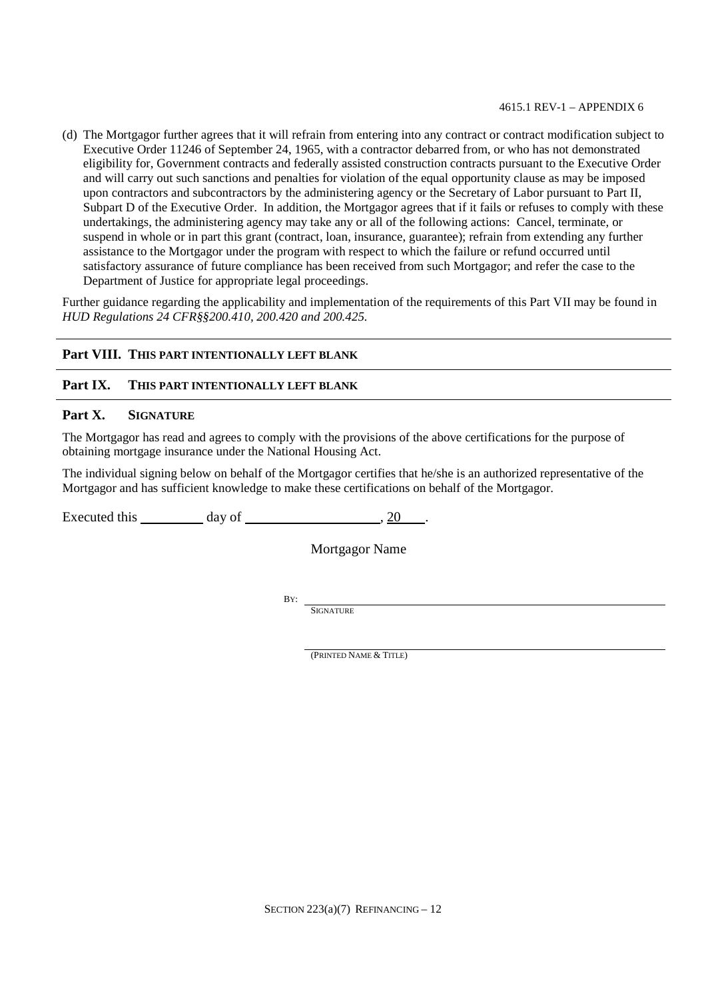#### 4615.1 REV-1 – APPENDIX 6

(d) The Mortgagor further agrees that it will refrain from entering into any contract or contract modification subject to Executive Order 11246 of September 24, 1965, with a contractor debarred from, or who has not demonstrated eligibility for, Government contracts and federally assisted construction contracts pursuant to the Executive Order and will carry out such sanctions and penalties for violation of the equal opportunity clause as may be imposed upon contractors and subcontractors by the administering agency or the Secretary of Labor pursuant to Part II, Subpart D of the Executive Order. In addition, the Mortgagor agrees that if it fails or refuses to comply with these undertakings, the administering agency may take any or all of the following actions: Cancel, terminate, or suspend in whole or in part this grant (contract, loan, insurance, guarantee); refrain from extending any further assistance to the Mortgagor under the program with respect to which the failure or refund occurred until satisfactory assurance of future compliance has been received from such Mortgagor; and refer the case to the Department of Justice for appropriate legal proceedings.

Further guidance regarding the applicability and implementation of the requirements of this Part VII may be found in *HUD Regulations 24 CFR§§200.410, 200.420 and 200.425.*

## **Part VIII. THIS PART INTENTIONALLY LEFT BLANK**

### **Part IX. THIS PART INTENTIONALLY LEFT BLANK**

#### **Part X. SIGNATURE**

The Mortgagor has read and agrees to comply with the provisions of the above certifications for the purpose of obtaining mortgage insurance under the National Housing Act.

The individual signing below on behalf of the Mortgagor certifies that he/she is an authorized representative of the Mortgagor and has sufficient knowledge to make these certifications on behalf of the Mortgagor.

Executed this day of 3.20 .

Mortgagor Name

BY:

**SIGNATURE** 

(PRINTED NAME & TITLE)